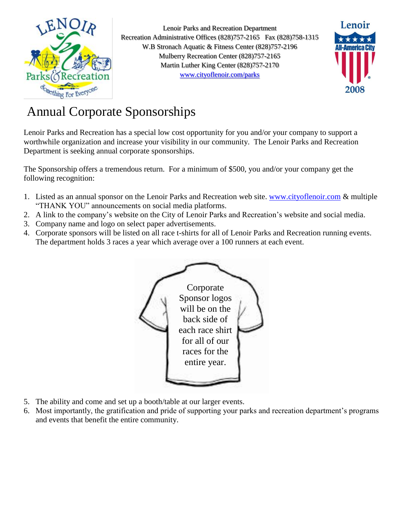

Lenoir Parks and Recreation Department Recreation Administrative Offices (828)757-2165 Fax (828)758-1315 W.B Stronach Aquatic & Fitness Center (828)757-2196 Mulberry Recreation Center (828)757-2165 Martin Luther King Center (828)757-2170 [www.cityoflenoir.com/parks](http://www.cityoflenoir.com/parks)



## Annual Corporate Sponsorships

Lenoir Parks and Recreation has a special low cost opportunity for you and/or your company to support a worthwhile organization and increase your visibility in our community. The Lenoir Parks and Recreation Department is seeking annual corporate sponsorships.

The Sponsorship offers a tremendous return. For a minimum of \$500, you and/or your company get the following recognition:

- 1. Listed as an annual sponsor on the Lenoir Parks and Recreation web site. [www.cityoflenoir.com](http://www.cityoflenoir.com/) & multiple "THANK YOU" announcements on social media platforms.
- 2. A link to the company's website on the City of Lenoir Parks and Recreation's website and social media.
- 3. Company name and logo on select paper advertisements.
- 4. Corporate sponsors will be listed on all race t-shirts for all of Lenoir Parks and Recreation running events. The department holds 3 races a year which average over a 100 runners at each event.



- 5. The ability and come and set up a booth/table at our larger events.
- 6. Most importantly, the gratification and pride of supporting your parks and recreation department's programs and events that benefit the entire community.